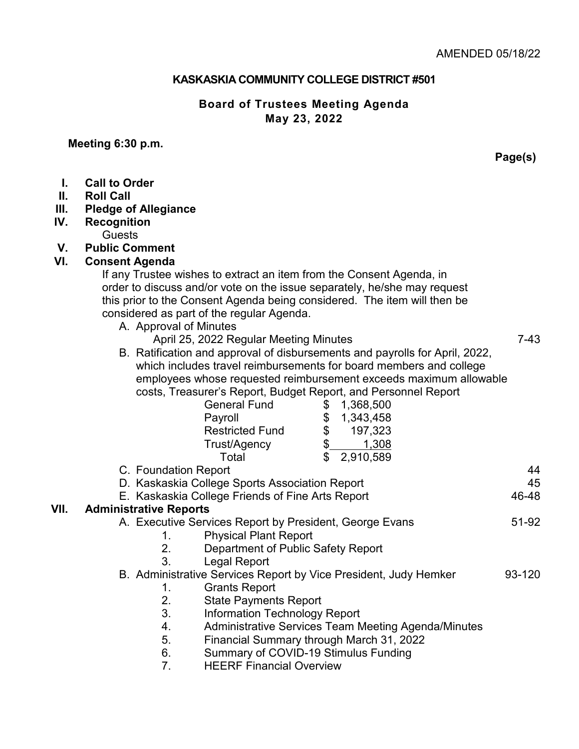## **KASKASKIA COMMUNITY COLLEGE DISTRICT #501**

### **Board of Trustees Meeting Agenda May 23, 2022**

## **Meeting 6:30 p.m.**

**Page(s)**

| L.<br>II.<br>III.<br>IV. | <b>Call to Order</b><br><b>Roll Call</b><br><b>Pledge of Allegiance</b><br><b>Recognition</b><br><b>Guests</b>                                                                                                                                                                                                                                                                                                                                                                                                                                                                                                                                                                                                                                                                                                                                                          |
|--------------------------|-------------------------------------------------------------------------------------------------------------------------------------------------------------------------------------------------------------------------------------------------------------------------------------------------------------------------------------------------------------------------------------------------------------------------------------------------------------------------------------------------------------------------------------------------------------------------------------------------------------------------------------------------------------------------------------------------------------------------------------------------------------------------------------------------------------------------------------------------------------------------|
| V.                       | <b>Public Comment</b>                                                                                                                                                                                                                                                                                                                                                                                                                                                                                                                                                                                                                                                                                                                                                                                                                                                   |
| VI.                      | <b>Consent Agenda</b><br>If any Trustee wishes to extract an item from the Consent Agenda, in<br>order to discuss and/or vote on the issue separately, he/she may request<br>this prior to the Consent Agenda being considered. The item will then be<br>considered as part of the regular Agenda.<br>A. Approval of Minutes<br>$7-43$<br>April 25, 2022 Regular Meeting Minutes<br>B. Ratification and approval of disbursements and payrolls for April, 2022,<br>which includes travel reimbursements for board members and college<br>employees whose requested reimbursement exceeds maximum allowable<br>costs, Treasurer's Report, Budget Report, and Personnel Report<br><b>General Fund</b><br>\$<br>1,368,500<br>\$<br>\$<br>Payroll<br>1,343,458<br><b>Restricted Fund</b><br>197,323<br>$\overline{\$}$<br>1,308<br>Trust/Agency<br>\$<br>Total<br>2,910,589 |
|                          | C. Foundation Report<br>44                                                                                                                                                                                                                                                                                                                                                                                                                                                                                                                                                                                                                                                                                                                                                                                                                                              |
|                          | 45<br>D. Kaskaskia College Sports Association Report                                                                                                                                                                                                                                                                                                                                                                                                                                                                                                                                                                                                                                                                                                                                                                                                                    |
|                          | 46-48<br>E. Kaskaskia College Friends of Fine Arts Report                                                                                                                                                                                                                                                                                                                                                                                                                                                                                                                                                                                                                                                                                                                                                                                                               |
| VII.                     | <b>Administrative Reports</b>                                                                                                                                                                                                                                                                                                                                                                                                                                                                                                                                                                                                                                                                                                                                                                                                                                           |
|                          | A. Executive Services Report by President, George Evans<br>51-92<br><b>Physical Plant Report</b><br>1.<br>2.<br>Department of Public Safety Report<br>3 <sub>1</sub><br><b>Legal Report</b>                                                                                                                                                                                                                                                                                                                                                                                                                                                                                                                                                                                                                                                                             |
|                          | B. Administrative Services Report by Vice President, Judy Hemker<br>93-120<br><b>Grants Report</b><br>1.<br>2.<br><b>State Payments Report</b><br>3.<br><b>Information Technology Report</b><br><b>Administrative Services Team Meeting Agenda/Minutes</b><br>4.<br>5.<br>Financial Summary through March 31, 2022                                                                                                                                                                                                                                                                                                                                                                                                                                                                                                                                                      |
|                          | 6.<br>Summary of COVID-19 Stimulus Funding<br>7.<br><b>HEERF Financial Overview</b>                                                                                                                                                                                                                                                                                                                                                                                                                                                                                                                                                                                                                                                                                                                                                                                     |
|                          |                                                                                                                                                                                                                                                                                                                                                                                                                                                                                                                                                                                                                                                                                                                                                                                                                                                                         |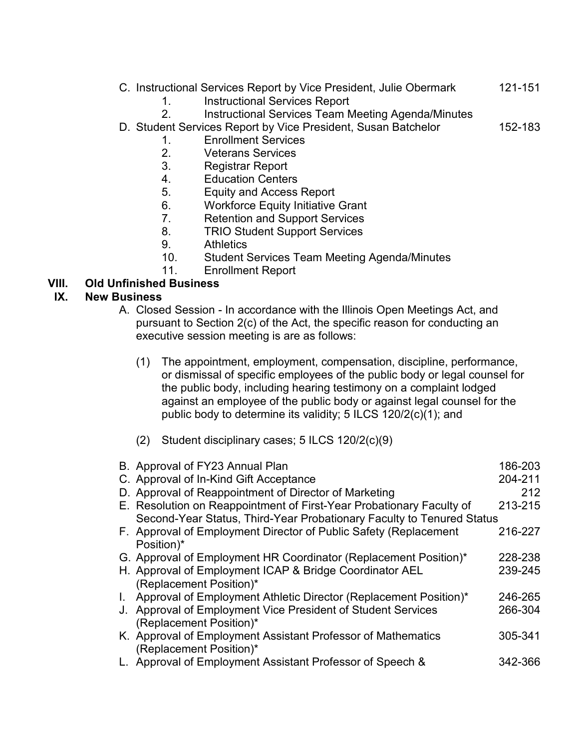|  |  |  |  | C. Instructional Services Report by Vice President, Julie Obermark | 121-151 |
|--|--|--|--|--------------------------------------------------------------------|---------|
|  |  |  |  |                                                                    |         |

- 1. Instructional Services Report
- 2. Instructional Services Team Meeting Agenda/Minutes
- D. Student Services Report by Vice President, Susan Batchelor 152-183

- 1. Enrollment Services
- 2. Veterans Services
- 3. Registrar Report
- 4. Education Centers
- 5. Equity and Access Report
- 6. Workforce Equity Initiative Grant
- 7. Retention and Support Services
- 8. TRIO Student Support Services
- 9. Athletics
- 10. Student Services Team Meeting Agenda/Minutes
- 11. Enrollment Report

# **VIII. Old Unfinished Business**

#### **IX. New Business**

- A. Closed Session In accordance with the Illinois Open Meetings Act, and pursuant to Section 2(c) of the Act, the specific reason for conducting an executive session meeting is are as follows:
	- (1) The appointment, employment, compensation, discipline, performance, or dismissal of specific employees of the public body or legal counsel for the public body, including hearing testimony on a complaint lodged against an employee of the public body or against legal counsel for the public body to determine its validity; 5 ILCS 120/2(c)(1); and
	- (2) Student disciplinary cases; 5 ILCS 120/2(c)(9)

|              | B. Approval of FY23 Annual Plan<br>C. Approval of In-Kind Gift Acceptance | 186-203<br>204-211 |
|--------------|---------------------------------------------------------------------------|--------------------|
|              | D. Approval of Reappointment of Director of Marketing                     | 212                |
|              | E. Resolution on Reappointment of First-Year Probationary Faculty of      | 213-215            |
|              | Second-Year Status, Third-Year Probationary Faculty to Tenured Status     |                    |
|              | F. Approval of Employment Director of Public Safety (Replacement          | 216-227            |
|              | Position)*                                                                |                    |
|              | G. Approval of Employment HR Coordinator (Replacement Position)*          | 228-238            |
|              | H. Approval of Employment ICAP & Bridge Coordinator AEL                   | 239-245            |
|              | (Replacement Position)*                                                   |                    |
| $\mathbf{L}$ | Approval of Employment Athletic Director (Replacement Position)*          | 246-265            |
|              | J. Approval of Employment Vice President of Student Services              | 266-304            |
|              | (Replacement Position)*                                                   |                    |
|              | K. Approval of Employment Assistant Professor of Mathematics              | 305-341            |
|              | (Replacement Position)*                                                   |                    |
|              | L. Approval of Employment Assistant Professor of Speech &                 | 342-366            |